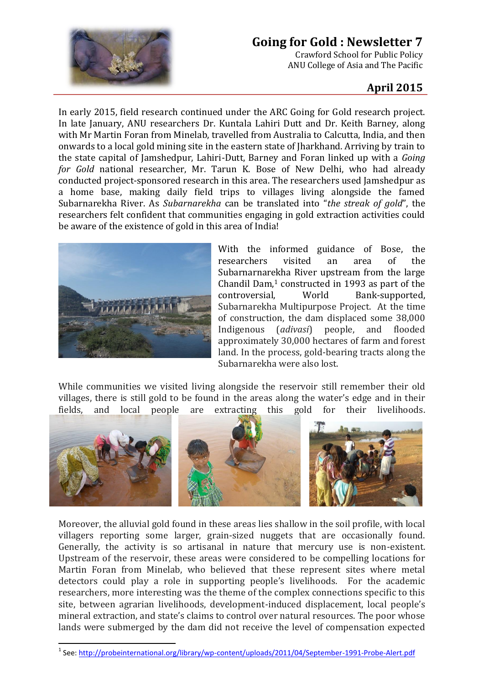

## **Going for Gold : Newsletter 7**

Crawford School for Public Policy ANU College of Asia and The Pacific

## **April 2015**

In early 2015, field research continued under the ARC Going for Gold research project. In late January, ANU researchers Dr. Kuntala Lahiri Dutt and Dr. Keith Barney, along with Mr Martin Foran from Minelab, travelled from Australia to Calcutta, India, and then onwards to a local gold mining site in the eastern state of Jharkhand. Arriving by train to the state capital of Jamshedpur, Lahiri-Dutt, Barney and Foran linked up with a *Going for Gold* national researcher, Mr. Tarun K. Bose of New Delhi, who had already conducted project-sponsored research in this area. The researchers used Jamshedpur as a home base, making daily field trips to villages living alongside the famed Subarnarekha River. As *Subarnarekha* can be translated into "*the streak of gold*", the researchers felt confident that communities engaging in gold extraction activities could be aware of the existence of gold in this area of India!



 $\overline{\phantom{a}}$ 

With the informed guidance of Bose, the researchers visited an area of the Subarnarnarekha River upstream from the large Chandil Dam, $1$  constructed in 1993 as part of the controversial, World Bank-supported, Subarnarekha Multipurpose Project. At the time of construction, the dam displaced some 38,000 Indigenous (*adivasi*) people, and flooded approximately 30,000 hectares of farm and forest land. In the process, gold-bearing tracts along the Subarnarekha were also lost.

While communities we visited living alongside the reservoir still remember their old villages, there is still gold to be found in the areas along the water's edge and in their fields, and local people are extracting this gold for their livelihoods.



Moreover, the alluvial gold found in these areas lies shallow in the soil profile, with local villagers reporting some larger, grain-sized nuggets that are occasionally found. Generally, the activity is so artisanal in nature that mercury use is non-existent. Upstream of the reservoir, these areas were considered to be compelling locations for Martin Foran from Minelab, who believed that these represent sites where metal detectors could play a role in supporting people's livelihoods. For the academic researchers, more interesting was the theme of the complex connections specific to this site, between agrarian livelihoods, development-induced displacement, local people's mineral extraction, and state's claims to control over natural resources. The poor whose lands were submerged by the dam did not receive the level of compensation expected

<sup>&</sup>lt;sup>1</sup> See:<http://probeinternational.org/library/wp-content/uploads/2011/04/September-1991-Probe-Alert.pdf>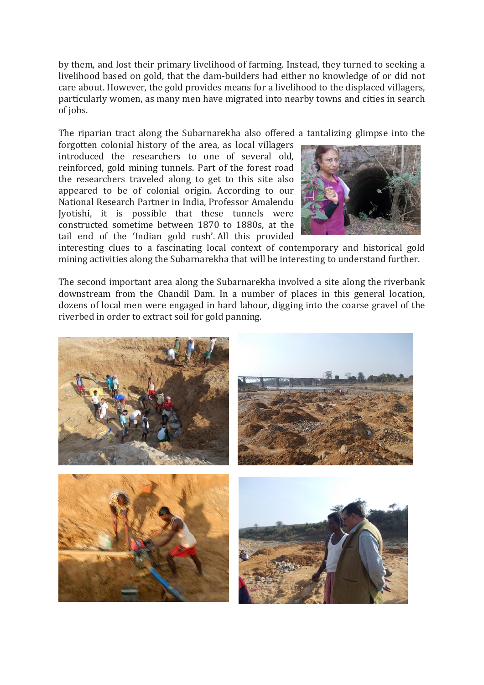by them, and lost their primary livelihood of farming. Instead, they turned to seeking a livelihood based on gold, that the dam-builders had either no knowledge of or did not care about. However, the gold provides means for a livelihood to the displaced villagers, particularly women, as many men have migrated into nearby towns and cities in search of jobs.

The riparian tract along the Subarnarekha also offered a tantalizing glimpse into the

forgotten colonial history of the area, as local villagers introduced the researchers to one of several old, reinforced, gold mining tunnels. Part of the forest road the researchers traveled along to get to this site also appeared to be of colonial origin. According to our National Research Partner in India, Professor Amalendu Jyotishi, it is possible that these tunnels were constructed sometime between 1870 to 1880s, at the tail end of the 'Indian gold rush'. All this provided



interesting clues to a fascinating local context of contemporary and historical gold mining activities along the Subarnarekha that will be interesting to understand further.

The second important area along the Subarnarekha involved a site along the riverbank downstream from the Chandil Dam. In a number of places in this general location, dozens of local men were engaged in hard labour, digging into the coarse gravel of the riverbed in order to extract soil for gold panning.